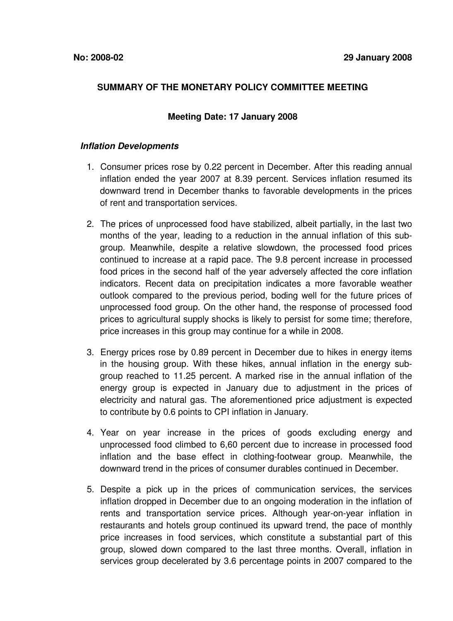# **SUMMARY OF THE MONETARY POLICY COMMITTEE MEETING**

## **Meeting Date: 17 January 2008**

### *Inflation Developments*

- 1. Consumer prices rose by 0.22 percent in December. After this reading annual inflation ended the year 2007 at 8.39 percent. Services inflation resumed its downward trend in December thanks to favorable developments in the prices of rent and transportation services.
- 2. The prices of unprocessed food have stabilized, albeit partially, in the last two months of the year, leading to a reduction in the annual inflation of this subgroup. Meanwhile, despite a relative slowdown, the processed food prices continued to increase at a rapid pace. The 9.8 percent increase in processed food prices in the second half of the year adversely affected the core inflation indicators. Recent data on precipitation indicates a more favorable weather outlook compared to the previous period, boding well for the future prices of unprocessed food group. On the other hand, the response of processed food prices to agricultural supply shocks is likely to persist for some time; therefore, price increases in this group may continue for a while in 2008.
- 3. Energy prices rose by 0.89 percent in December due to hikes in energy items in the housing group. With these hikes, annual inflation in the energy subgroup reached to 11.25 percent. A marked rise in the annual inflation of the energy group is expected in January due to adjustment in the prices of electricity and natural gas. The aforementioned price adjustment is expected to contribute by 0.6 points to CPI inflation in January.
- 4. Year on year increase in the prices of goods excluding energy and unprocessed food climbed to 6,60 percent due to increase in processed food inflation and the base effect in clothing-footwear group. Meanwhile, the downward trend in the prices of consumer durables continued in December.
- 5. Despite a pick up in the prices of communication services, the services inflation dropped in December due to an ongoing moderation in the inflation of rents and transportation service prices. Although year-on-year inflation in restaurants and hotels group continued its upward trend, the pace of monthly price increases in food services, which constitute a substantial part of this group, slowed down compared to the last three months. Overall, inflation in services group decelerated by 3.6 percentage points in 2007 compared to the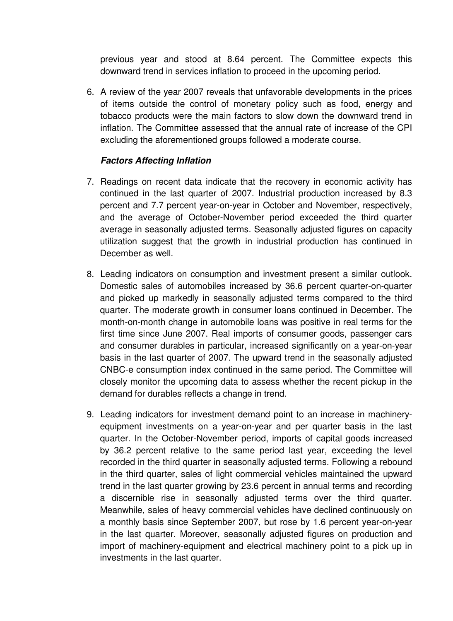previous year and stood at 8.64 percent. The Committee expects this downward trend in services inflation to proceed in the upcoming period.

6. A review of the year 2007 reveals that unfavorable developments in the prices of items outside the control of monetary policy such as food, energy and tobacco products were the main factors to slow down the downward trend in inflation. The Committee assessed that the annual rate of increase of the CPI excluding the aforementioned groups followed a moderate course.

## *Factors Affecting Inflation*

- 7. Readings on recent data indicate that the recovery in economic activity has continued in the last quarter of 2007. Industrial production increased by 8.3 percent and 7.7 percent year-on-year in October and November, respectively, and the average of October-November period exceeded the third quarter average in seasonally adjusted terms. Seasonally adjusted figures on capacity utilization suggest that the growth in industrial production has continued in December as well.
- 8. Leading indicators on consumption and investment present a similar outlook. Domestic sales of automobiles increased by 36.6 percent quarter-on-quarter and picked up markedly in seasonally adjusted terms compared to the third quarter. The moderate growth in consumer loans continued in December. The month-on-month change in automobile loans was positive in real terms for the first time since June 2007. Real imports of consumer goods, passenger cars and consumer durables in particular, increased significantly on a year-on-year basis in the last quarter of 2007. The upward trend in the seasonally adjusted CNBC-e consumption index continued in the same period. The Committee will closely monitor the upcoming data to assess whether the recent pickup in the demand for durables reflects a change in trend.
- 9. Leading indicators for investment demand point to an increase in machineryequipment investments on a year-on-year and per quarter basis in the last quarter. In the October-November period, imports of capital goods increased by 36.2 percent relative to the same period last year, exceeding the level recorded in the third quarter in seasonally adjusted terms. Following a rebound in the third quarter, sales of light commercial vehicles maintained the upward trend in the last quarter growing by 23.6 percent in annual terms and recording a discernible rise in seasonally adjusted terms over the third quarter. Meanwhile, sales of heavy commercial vehicles have declined continuously on a monthly basis since September 2007, but rose by 1.6 percent year-on-year in the last quarter. Moreover, seasonally adjusted figures on production and import of machinery-equipment and electrical machinery point to a pick up in investments in the last quarter.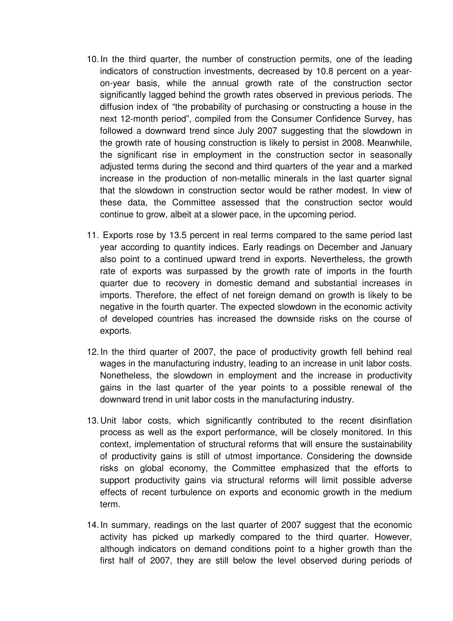- 10.In the third quarter, the number of construction permits, one of the leading indicators of construction investments, decreased by 10.8 percent on a yearon-year basis, while the annual growth rate of the construction sector significantly lagged behind the growth rates observed in previous periods. The diffusion index of "the probability of purchasing or constructing a house in the next 12-month period", compiled from the Consumer Confidence Survey, has followed a downward trend since July 2007 suggesting that the slowdown in the growth rate of housing construction is likely to persist in 2008. Meanwhile, the significant rise in employment in the construction sector in seasonally adjusted terms during the second and third quarters of the year and a marked increase in the production of non-metallic minerals in the last quarter signal that the slowdown in construction sector would be rather modest. In view of these data, the Committee assessed that the construction sector would continue to grow, albeit at a slower pace, in the upcoming period.
- 11. Exports rose by 13.5 percent in real terms compared to the same period last year according to quantity indices. Early readings on December and January also point to a continued upward trend in exports. Nevertheless, the growth rate of exports was surpassed by the growth rate of imports in the fourth quarter due to recovery in domestic demand and substantial increases in imports. Therefore, the effect of net foreign demand on growth is likely to be negative in the fourth quarter. The expected slowdown in the economic activity of developed countries has increased the downside risks on the course of exports.
- 12.In the third quarter of 2007, the pace of productivity growth fell behind real wages in the manufacturing industry, leading to an increase in unit labor costs. Nonetheless, the slowdown in employment and the increase in productivity gains in the last quarter of the year points to a possible renewal of the downward trend in unit labor costs in the manufacturing industry.
- 13.Unit labor costs, which significantly contributed to the recent disinflation process as well as the export performance, will be closely monitored. In this context, implementation of structural reforms that will ensure the sustainability of productivity gains is still of utmost importance. Considering the downside risks on global economy, the Committee emphasized that the efforts to support productivity gains via structural reforms will limit possible adverse effects of recent turbulence on exports and economic growth in the medium term.
- 14.In summary, readings on the last quarter of 2007 suggest that the economic activity has picked up markedly compared to the third quarter. However, although indicators on demand conditions point to a higher growth than the first half of 2007, they are still below the level observed during periods of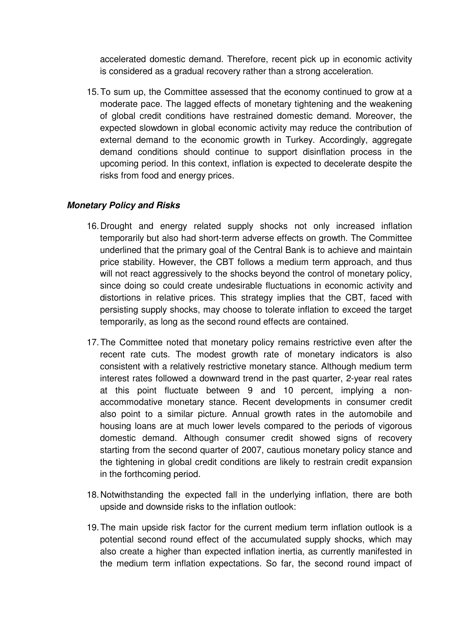accelerated domestic demand. Therefore, recent pick up in economic activity is considered as a gradual recovery rather than a strong acceleration.

15.To sum up, the Committee assessed that the economy continued to grow at a moderate pace. The lagged effects of monetary tightening and the weakening of global credit conditions have restrained domestic demand. Moreover, the expected slowdown in global economic activity may reduce the contribution of external demand to the economic growth in Turkey. Accordingly, aggregate demand conditions should continue to support disinflation process in the upcoming period. In this context, inflation is expected to decelerate despite the risks from food and energy prices.

# *Monetary Policy and Risks*

- 16.Drought and energy related supply shocks not only increased inflation temporarily but also had short-term adverse effects on growth. The Committee underlined that the primary goal of the Central Bank is to achieve and maintain price stability. However, the CBT follows a medium term approach, and thus will not react aggressively to the shocks beyond the control of monetary policy, since doing so could create undesirable fluctuations in economic activity and distortions in relative prices. This strategy implies that the CBT, faced with persisting supply shocks, may choose to tolerate inflation to exceed the target temporarily, as long as the second round effects are contained.
- 17.The Committee noted that monetary policy remains restrictive even after the recent rate cuts. The modest growth rate of monetary indicators is also consistent with a relatively restrictive monetary stance. Although medium term interest rates followed a downward trend in the past quarter, 2-year real rates at this point fluctuate between 9 and 10 percent, implying a nonaccommodative monetary stance. Recent developments in consumer credit also point to a similar picture. Annual growth rates in the automobile and housing loans are at much lower levels compared to the periods of vigorous domestic demand. Although consumer credit showed signs of recovery starting from the second quarter of 2007, cautious monetary policy stance and the tightening in global credit conditions are likely to restrain credit expansion in the forthcoming period.
- 18.Notwithstanding the expected fall in the underlying inflation, there are both upside and downside risks to the inflation outlook:
- 19.The main upside risk factor for the current medium term inflation outlook is a potential second round effect of the accumulated supply shocks, which may also create a higher than expected inflation inertia, as currently manifested in the medium term inflation expectations. So far, the second round impact of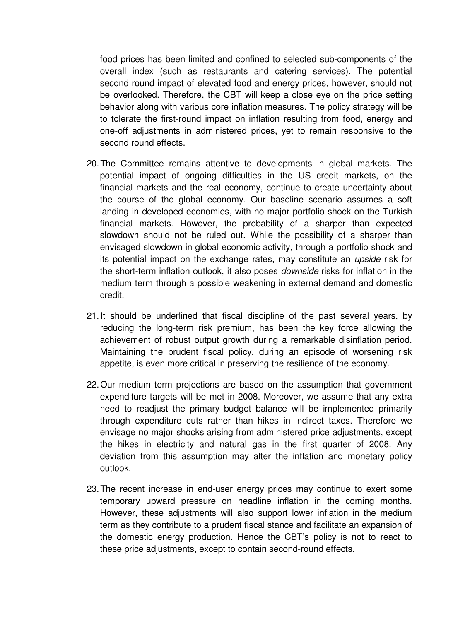food prices has been limited and confined to selected sub-components of the overall index (such as restaurants and catering services). The potential second round impact of elevated food and energy prices, however, should not be overlooked. Therefore, the CBT will keep a close eye on the price setting behavior along with various core inflation measures. The policy strategy will be to tolerate the first-round impact on inflation resulting from food, energy and one-off adjustments in administered prices, yet to remain responsive to the second round effects.

- 20.The Committee remains attentive to developments in global markets. The potential impact of ongoing difficulties in the US credit markets, on the financial markets and the real economy, continue to create uncertainty about the course of the global economy. Our baseline scenario assumes a soft landing in developed economies, with no major portfolio shock on the Turkish financial markets. However, the probability of a sharper than expected slowdown should not be ruled out. While the possibility of a sharper than envisaged slowdown in global economic activity, through a portfolio shock and its potential impact on the exchange rates, may constitute an *upside* risk for the short-term inflation outlook, it also poses *downside* risks for inflation in the medium term through a possible weakening in external demand and domestic credit.
- 21.It should be underlined that fiscal discipline of the past several years, by reducing the long-term risk premium, has been the key force allowing the achievement of robust output growth during a remarkable disinflation period. Maintaining the prudent fiscal policy, during an episode of worsening risk appetite, is even more critical in preserving the resilience of the economy.
- 22.Our medium term projections are based on the assumption that government expenditure targets will be met in 2008. Moreover, we assume that any extra need to readjust the primary budget balance will be implemented primarily through expenditure cuts rather than hikes in indirect taxes. Therefore we envisage no major shocks arising from administered price adjustments, except the hikes in electricity and natural gas in the first quarter of 2008. Any deviation from this assumption may alter the inflation and monetary policy outlook.
- 23.The recent increase in end-user energy prices may continue to exert some temporary upward pressure on headline inflation in the coming months. However, these adjustments will also support lower inflation in the medium term as they contribute to a prudent fiscal stance and facilitate an expansion of the domestic energy production. Hence the CBT's policy is not to react to these price adjustments, except to contain second-round effects.